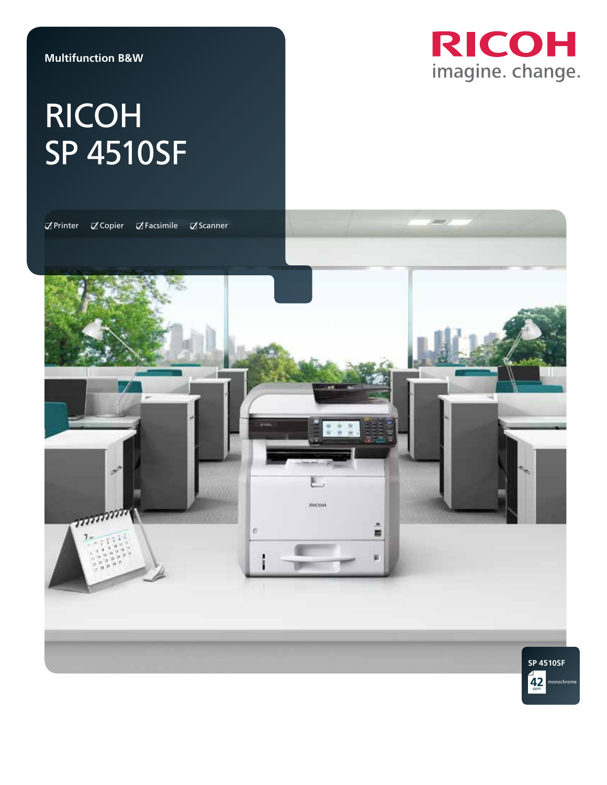### **Multifunction B&W**

# **RICOH** imagine. change.

# Ricoh SP 4510SF

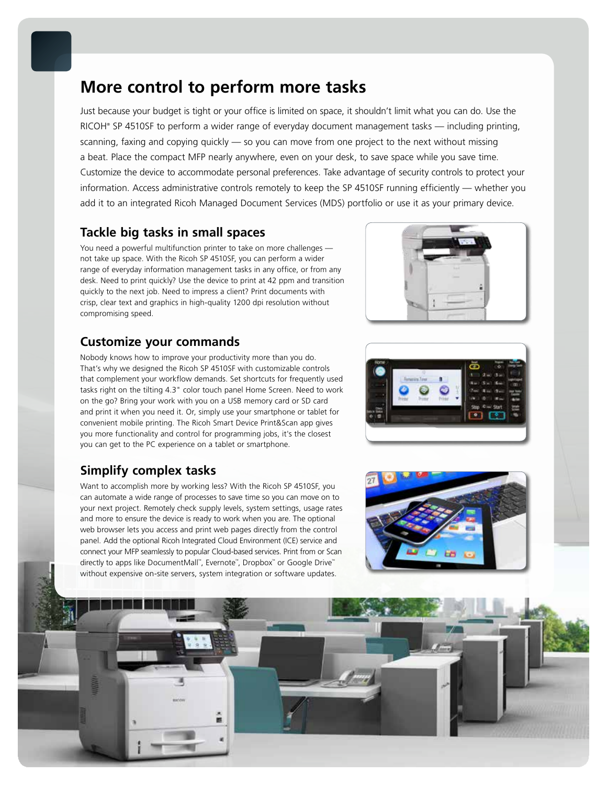### **More control to perform more tasks**

Just because your budget is tight or your office is limited on space, it shouldn't limit what you can do. Use the RICOH® SP 4510SF to perform a wider range of everyday document management tasks — including printing, scanning, faxing and copying quickly — so you can move from one project to the next without missing a beat. Place the compact MFP nearly anywhere, even on your desk, to save space while you save time. Customize the device to accommodate personal preferences. Take advantage of security controls to protect your information. Access administrative controls remotely to keep the SP 4510SF running efficiently — whether you add it to an integrated Ricoh Managed Document Services (MDS) portfolio or use it as your primary device.

### **Tackle big tasks in small spaces**

You need a powerful multifunction printer to take on more challenges not take up space. With the Ricoh SP 4510SF, you can perform a wider range of everyday information management tasks in any office, or from any desk. Need to print quickly? Use the device to print at 42 ppm and transition quickly to the next job. Need to impress a client? Print documents with crisp, clear text and graphics in high-quality 1200 dpi resolution without compromising speed.

### **Customize your commands**

Nobody knows how to improve your productivity more than you do. That's why we designed the Ricoh SP 4510SF with customizable controls that complement your workflow demands. Set shortcuts for frequently used tasks right on the tilting 4.3" color touch panel Home Screen. Need to work on the go? Bring your work with you on a USB memory card or SD card and print it when you need it. Or, simply use your smartphone or tablet for convenient mobile printing. The Ricoh Smart Device Print&Scan app gives you more functionality and control for programming jobs, it's the closest you can get to the PC experience on a tablet or smartphone.

### **Simplify complex tasks**

Want to accomplish more by working less? With the Ricoh SP 4510SF, you can automate a wide range of processes to save time so you can move on to your next project. Remotely check supply levels, system settings, usage rates and more to ensure the device is ready to work when you are. The optional web browser lets you access and print web pages directly from the control panel. Add the optional Ricoh Integrated Cloud Environment (ICE) service and connect your MFP seamlessly to popular Cloud-based services. Print from or Scan directly to apps like DocumentMall™ , Evernote™ , Dropbox™ or Google Drive™ without expensive on-site servers, system integration or software updates.







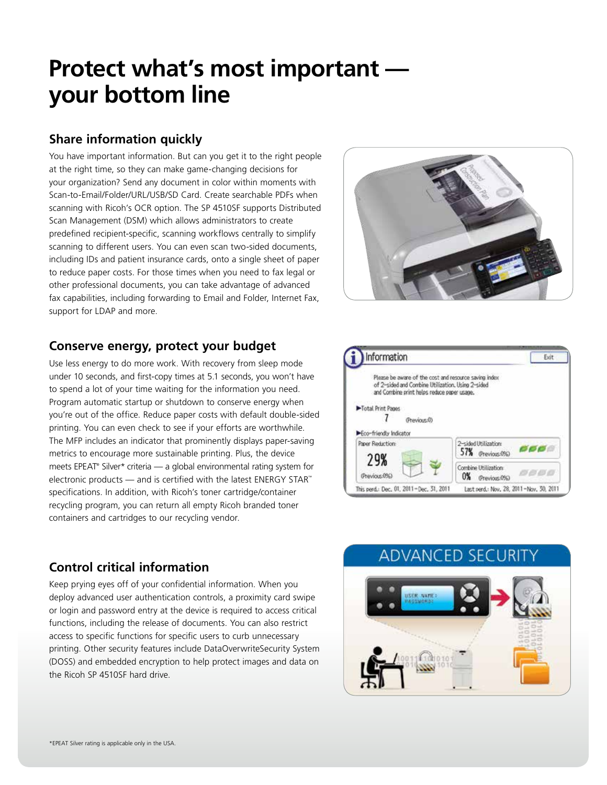## **Protect what's most important your bottom line**

### **Share information quickly**

You have important information. But can you get it to the right people at the right time, so they can make game-changing decisions for your organization? Send any document in color within moments with Scan-to-Email/Folder/URL/USB/SD Card. Create searchable PDFs when scanning with Ricoh's OCR option. The SP 4510SF supports Distributed Scan Management (DSM) which allows administrators to create predefined recipient-specific, scanning workflows centrally to simplify scanning to different users. You can even scan two-sided documents, including IDs and patient insurance cards, onto a single sheet of paper to reduce paper costs. For those times when you need to fax legal or other professional documents, you can take advantage of advanced fax capabilities, including forwarding to Email and Folder, Internet Fax, support for LDAP and more.



### **Conserve energy, protect your budget**

Use less energy to do more work. With recovery from sleep mode under 10 seconds, and first-copy times at 5.1 seconds, you won't have to spend a lot of your time waiting for the information you need. Program automatic startup or shutdown to conserve energy when you're out of the office. Reduce paper costs with default double-sided printing. You can even check to see if your efforts are worthwhile. The MFP includes an indicator that prominently displays paper-saving metrics to encourage more sustainable printing. Plus, the device meets EPEAT® Silver\* criteria — a global environmental rating system for electronic products — and is certified with the latest ENERGY STAR™ specifications. In addition, with Ricoh's toner cartridge/container recycling program, you can return all empty Ricoh branded toner containers and cartridges to our recycling vendor.



### **Control critical information**

Keep prying eyes off of your confidential information. When you deploy advanced user authentication controls, a proximity card swipe or login and password entry at the device is required to access critical functions, including the release of documents. You can also restrict access to specific functions for specific users to curb unnecessary printing. Other security features include DataOverwriteSecurity System (DOSS) and embedded encryption to help protect images and data on the Ricoh SP 4510SF hard drive.

### **ADVANCED SECURITY**